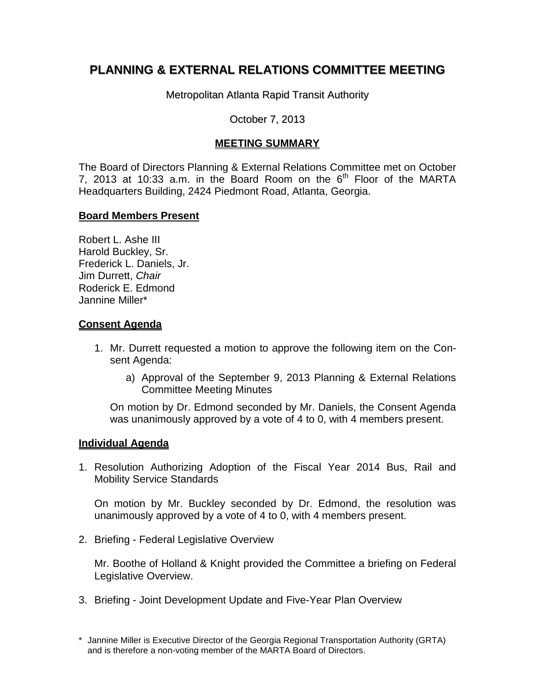# **PLANNING & EXTERNAL RELATIONS COMMITTEE MEETING**

Metropolitan Atlanta Rapid Transit Authority

### October 7, 2013

## **MEETING SUMMARY**

The Board of Directors Planning & External Relations Committee met on October 7, 2013 at 10:33 a.m. in the Board Room on the  $6<sup>th</sup>$  Floor of the MARTA Headquarters Building, 2424 Piedmont Road, Atlanta, Georgia.

#### **Board Members Present**

Robert L. Ashe III Harold Buckley, Sr. Frederick L. Daniels, Jr. Jim Durrett, *Chair*  Roderick E. Edmond Jannine Miller\*

#### **Consent Agenda**

- 1. Mr. Durrett requested a motion to approve the following item on the Consent Agenda:
	- a) Approval of the September 9, 2013 Planning & External Relations Committee Meeting Minutes

On motion by Dr. Edmond seconded by Mr. Daniels, the Consent Agenda was unanimously approved by a vote of 4 to 0, with 4 members present.

#### **Individual Agenda**

1. Resolution Authorizing Adoption of the Fiscal Year 2014 Bus, Rail and Mobility Service Standards

On motion by Mr. Buckley seconded by Dr. Edmond, the resolution was unanimously approved by a vote of 4 to 0, with 4 members present.

2. Briefing - Federal Legislative Overview

Mr. Boothe of Holland & Knight provided the Committee a briefing on Federal Legislative Overview.

3. Briefing - Joint Development Update and Five-Year Plan Overview

<sup>\*</sup> Jannine Miller is Executive Director of the Georgia Regional Transportation Authority (GRTA) and is therefore a non-voting member of the MARTA Board of Directors.